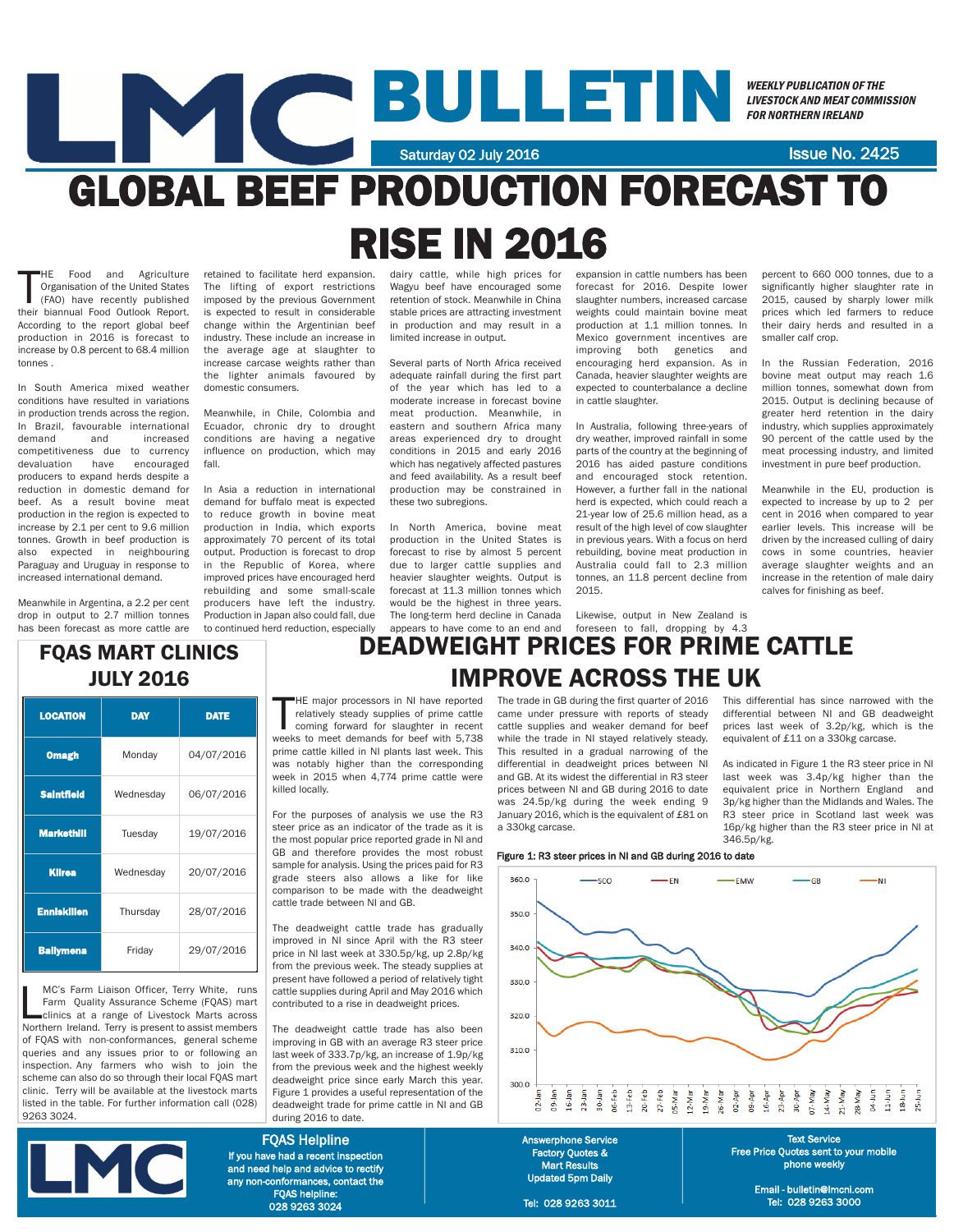# BULLETIN Saturday 02 July 2016 **Issue No. 2425**

WEEKLY PUBLICATION OF THE LIVESTOCK AND MEAT COMMISSION FOR NORTHERN IRELAND

## GLOBAL BEEF PRODUCTION FORECAST TO RISE IN 2016

HE Food and Agriculture<br>
Organisation of the United States<br>
(FAO) have recently published<br>
their biannual Food Outlook Report. HE Food and Agriculture Organisation of the United States (FAO) have recently published According to the report global beef production in 2016 is forecast to increase by 0.8 percent to 68.4 million tonnes .

In South America mixed weather conditions have resulted in variations in production trends across the region. In Brazil, favourable international demand and increased competitiveness due to currency<br>devaluation have encouraged devaluation have producers to expand herds despite a reduction in domestic demand for beef. As a result bovine meat production in the region is expected to increase by 2.1 per cent to 9.6 million tonnes. Growth in beef production is also expected in neighbouring Paraguay and Uruguay in response to increased international demand.

Meanwhile in Argentina, a 2.2 per cent drop in output to 2.7 million tonnes has been forecast as more cattle are

retained to facilitate herd expansion. The lifting of export restrictions imposed by the previous Government is expected to result in considerable change within the Argentinian beef industry. These include an increase in the average age at slaughter to increase carcase weights rather than the lighter animals favoured by domestic consumers.

Meanwhile, in Chile, Colombia and Ecuador, chronic dry to drought conditions are having a negative influence on production, which may fall.

In Asia a reduction in international demand for buffalo meat is expected to reduce growth in bovine meat production in India, which exports approximately 70 percent of its total output. Production is forecast to drop in the Republic of Korea, where improved prices have encouraged herd rebuilding and some small-scale producers have left the industry. Production in Japan also could fall, due to continued herd reduction, especially

dairy cattle, while high prices for Wagyu beef have encouraged some retention of stock. Meanwhile in China stable prices are attracting investment in production and may result in a limited increase in output.

Several parts of North Africa received adequate rainfall during the first part of the year which has led to a moderate increase in forecast bovine meat production. Meanwhile, in eastern and southern Africa many areas experienced dry to drought conditions in 2015 and early 2016 which has negatively affected pastures and feed availability. As a result beef production may be constrained in these two subregions.

In North America, bovine meat production in the United States is forecast to rise by almost 5 percent due to larger cattle supplies and heavier slaughter weights. Output is forecast at 11.3 million tonnes which would be the highest in three years. The long-term herd decline in Canada appears to have come to an end and

expansion in cattle numbers has been forecast for 2016. Despite lower slaughter numbers, increased carcase weights could maintain bovine meat production at 1.1 million tonnes. In Mexico government incentives are improving both genetics and encouraging herd expansion. As in Canada, heavier slaughter weights are expected to counterbalance a decline in cattle slaughter.

In Australia, following three-years of dry weather, improved rainfall in some parts of the country at the beginning of 2016 has aided pasture conditions and encouraged stock retention. However, a further fall in the national herd is expected, which could reach a 21-year low of 25.6 million head, as a result of the high level of cow slaughter in previous years. With a focus on herd rebuilding, bovine meat production in Australia could fall to 2.3 million tonnes, an 11.8 percent decline from 2015.

Likewise, output in New Zealand is foreseen to fall, dropping by 4.3 percent to 660 000 tonnes, due to a significantly higher slaughter rate in 2015, caused by sharply lower milk prices which led farmers to reduce their dairy herds and resulted in a smaller calf crop.

In the Russian Federation, 2016 bovine meat output may reach 1.6 million tonnes, somewhat down from 2015. Output is declining because of greater herd retention in the dairy industry, which supplies approximately 90 percent of the cattle used by the meat processing industry, and limited investment in pure beef production.

Meanwhile in the EU, production is expected to increase by up to 2 per cent in 2016 when compared to year earlier levels. This increase will be driven by the increased culling of dairy cows in some countries, heavier average slaughter weights and an increase in the retention of male dairy calves for finishing as beef.

3p/kg higher than the Midlands and Wales. The R3 steer price in Scotland last week was 16p/kg higher than the R3 steer price in NI at

### FQAS MART CLINICS JULY 2016

| <b>LOCATION</b>    | <b>DAY</b> | <b>DATE</b> |
|--------------------|------------|-------------|
| <b>Omagh</b>       | Monday     | 04/07/2016  |
| <b>Saintfield</b>  | Wednesday  | 06/07/2016  |
| <b>Markethill</b>  | Tuesday    | 19/07/2016  |
| <b>Kilrea</b>      | Wednesday  | 20/07/2016  |
| <b>Enniskillen</b> | Thursday   | 28/07/2016  |
| <b>Ballymena</b>   | Friday     | 29/07/2016  |

MC's Farm Liaison Officer, Terry White, runs<br>Farm Quality Assurance Scheme (FQAS) mart<br>clinics at a range of Livestock Marts across<br>Northern Ireland. Terry is present to assist members MC's Farm Liaison Officer, Terry White, runs Farm Quality Assurance Scheme (FQAS) mart clinics at a range of Livestock Marts across of FQAS with non-conformances, general scheme queries and any issues prior to or following an inspection. Any farmers who wish to ioin the scheme can also do so through their local FQAS mart clinic. Terry will be available at the livestock marts listed in the table. For further information call (028) 9263 3024.



## DEADWEIGHT PRICES FOR PRIME CATTLE IMPROVE ACROSS THE UK

HE major processors in NI have reported<br>relatively steady supplies of prime cattle<br>coming forward for slaughter in recent<br>weeks to meet demands for beef with 5,738 HE major processors in NI have reported relatively steady supplies of prime cattle coming forward for slaughter in recent prime cattle killed in NI plants last week. This was notably higher than the corresponding week in 2015 when 4,774 prime cattle were killed locally.

For the purposes of analysis we use the R3 steer price as an indicator of the trade as it is the most popular price reported grade in NI and GB and therefore provides the most robust sample for analysis. Using the prices paid for R3 grade steers also allows a like for like comparison to be made with the deadweight cattle trade between NI and GB.

The deadweight cattle trade has gradually improved in NI since April with the R3 steer price in NI last week at 330.5p/kg, up 2.8p/kg from the previous week. The steady supplies at present have followed a period of relatively tight cattle supplies during April and May 2016 which contributed to a rise in deadweight prices.

The deadweight cattle trade has also been improving in GB with an average R3 steer price last week of 333.7p/kg, an increase of 1.9p/kg from the previous week and the highest weekly deadweight price since early March this year. Figure 1 provides a useful representation of the deadweight trade for prime cattle in NI and GB during 2016 to date.

FQAS Helpline If you have had a recent inspection and need help and advice to rectify any non-conformances, contact the FQAS helpline:

028 9263 3024

#### The trade in GB during the first quarter of 2016 came under pressure with reports of steady cattle supplies and weaker demand for beef while the trade in NI stayed relatively steady. This resulted in a gradual narrowing of the differential in deadweight prices between NI and GB. At its widest the differential in R3 steer This differential has since narrowed with the differential between NI and GB deadweight prices last week of 3.2p/kg, which is the equivalent of £11 on a 330kg carcase. As indicated in Figure 1 the R3 steer price in NI last week was 3.4p/kg higher than the equivalent price in Northern England and

prices between NI and GB during 2016 to date was 24.5p/kg during the week ending 9 January 2016, which is the equivalent of £81 on a 330kg carcase.

#### Figure 1: R3 steer prices in NI and GB during 2016 to date



346.5p/kg.

Factory Quotes & Mart Results Updated 5pm Daily

Tel: 028 9263 3011

Free Price Quotes sent to your mobile phone weekly

Email - bulletin@lmcni.com Tel: 028 9263 3000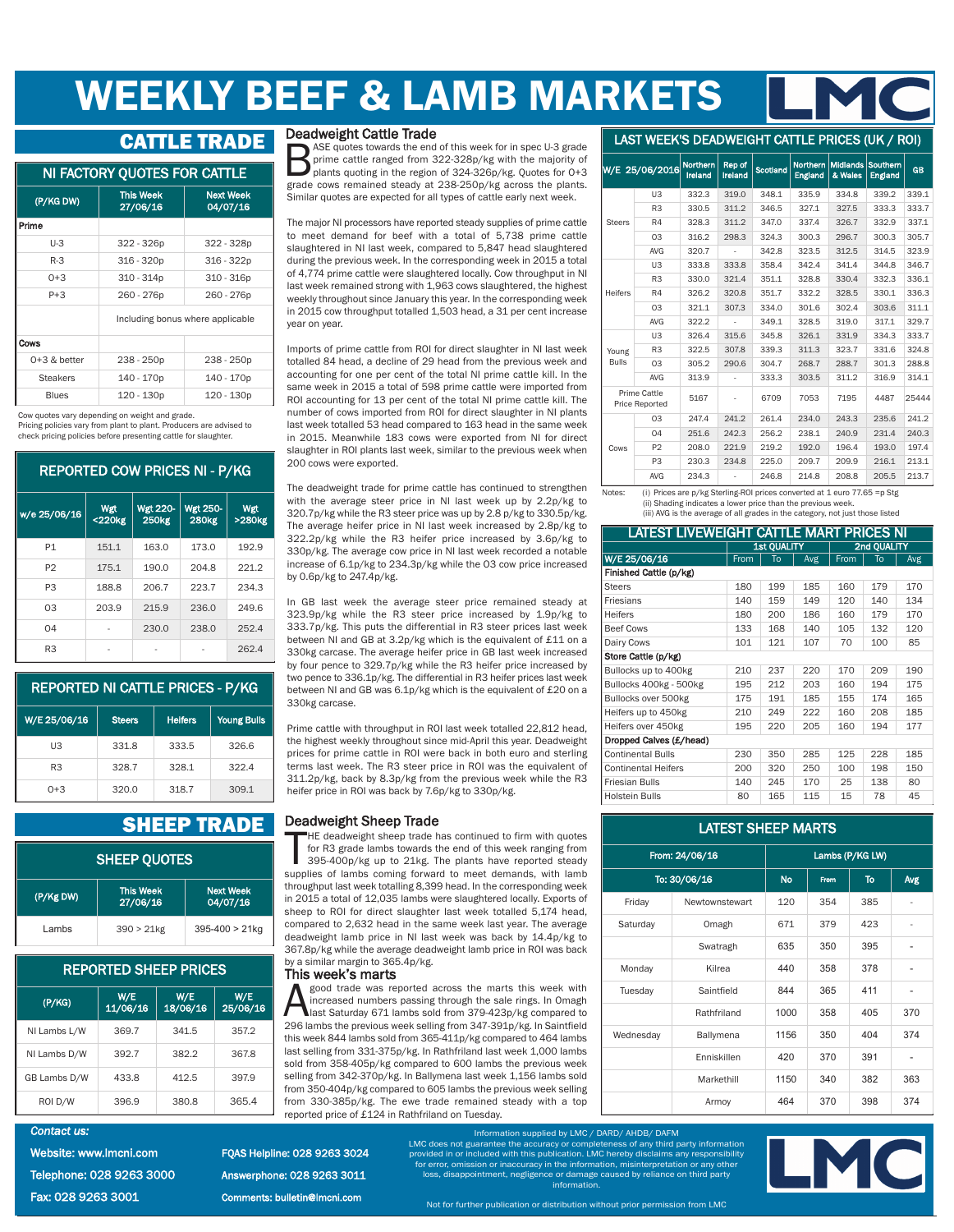## WEEKLY BEEF & LAMB MARKETS

#### CATTLE TRADE

| NI FACTORY QUOTES FOR CATTLE |  |
|------------------------------|--|
|------------------------------|--|

| (P/KG DW)       | <b>This Week</b><br>27/06/16     | <b>Next Week</b><br>04/07/16 |  |  |  |  |  |
|-----------------|----------------------------------|------------------------------|--|--|--|--|--|
| Prime           |                                  |                              |  |  |  |  |  |
| U-3             | 322 - 326p                       | 322 - 328p                   |  |  |  |  |  |
| $R-3$           | 316 - 320p                       | 316 - 322p                   |  |  |  |  |  |
| $0+3$           | $310 - 314p$                     | $310 - 316p$                 |  |  |  |  |  |
| $P + 3$         | 260 - 276p                       | 260 - 276p                   |  |  |  |  |  |
|                 | Including bonus where applicable |                              |  |  |  |  |  |
| Cows            |                                  |                              |  |  |  |  |  |
| $0+3$ & better  | 238 - 250p                       | 238 - 250p                   |  |  |  |  |  |
| <b>Steakers</b> | 140 - 170p                       | 140 - 170p                   |  |  |  |  |  |
| <b>Blues</b>    | 120 - 130p                       | 120 - 130p                   |  |  |  |  |  |

Cow quotes vary depending on weight and grade.

Pricing policies vary from plant to plant. Producers are advised to check pricing policies before presenting cattle for slaughter.

#### REPORTED COW PRICES NI - P/KG

| w/e 25/06/16   | Wgt<br><220kg | <b>Wgt 220-</b><br><b>250kg</b> | <b>Wgt 250-</b><br><b>280kg</b> | Wgt<br>>280kg |
|----------------|---------------|---------------------------------|---------------------------------|---------------|
| P1             | 151.1         | 163.0                           | 173.0                           | 192.9         |
| P <sub>2</sub> | 175.1         | 190.0                           | 204.8                           | 221.2         |
| P <sub>3</sub> | 188.8         | 206.7                           | 223.7                           | 234.3         |
| 03             | 203.9         | 215.9                           | 236.0                           | 249.6         |
| 04             |               | 230.0                           | 238.0                           | 252.4         |
| R <sub>3</sub> |               |                                 |                                 | 262.4         |

#### REPORTED NI CATTLE PRICES - P/KG

| W/E 25/06/16   | <b>Steers</b> | <b>Heifers</b> | <b>Young Bulls</b> |
|----------------|---------------|----------------|--------------------|
| UЗ             | 331.8         | 333.5          | 326.6              |
| R <sub>3</sub> | 328.7         | 328.1          | 322.4              |
| $0+3$          | 320.0         | 318.7          | 309.1              |

### **SHEEP TRADE** Deadweight Sheep Trade

| <b>SHEEP QUOTES</b> |                                                       |                     |  |  |  |
|---------------------|-------------------------------------------------------|---------------------|--|--|--|
| (P/Kg DW)           | Next Week<br><b>This Week</b><br>04/07/16<br>27/06/16 |                     |  |  |  |
| I ambs              | $390 > 21$ kg                                         | $395 - 400 > 21$ kg |  |  |  |

| <b>REPORTED SHEEP PRICES</b> |                 |                 |                 |  |  |  |  |
|------------------------------|-----------------|-----------------|-----------------|--|--|--|--|
| (P/KG)                       | W/E<br>11/06/16 | W/E<br>18/06/16 | W/E<br>25/06/16 |  |  |  |  |
| NI Lambs L/W                 | 369.7           | 341.5           | 357.2           |  |  |  |  |
| NI Lambs D/W                 | 392.7           | 382.2           | 367.8           |  |  |  |  |
| GB Lambs D/W                 | 433.8           | 412.5           | 397.9           |  |  |  |  |
| ROI D/W                      | 396.9           | 380.8           | 365.4           |  |  |  |  |

#### *Contact us:*  Website: www.lmcni.com Telephone: 028 9263 3000 Fax: 028 9263 3001

FQAS Helpline: 028 9263 3024

**Deadweight Cattle Trade**<br>ASE quotes towards the end of this week for in spec U-3 grade BASE quotes towards the end of this week for in spec U-3 grade<br>prime cattle ranged from 322-328p/kg with the majority of<br>plants quoting in the region of 324-326p/kg. Quotes for 0+3<br>grade cows remained steady at 238-250p/kg prime cattle ranged from 322-328p/kg with the majority of plants quoting in the region of 324-326p/kg. Quotes for 0+3 grade cows remained steady at 238-250p/kg across the plants. Similar quotes are expected for all types of cattle early next week.

The major NI processors have reported steady supplies of prime cattle to meet demand for beef with a total of 5,738 prime cattle slaughtered in NI last week, compared to 5,847 head slaughtered during the previous week. In the corresponding week in 2015 a total of 4,774 prime cattle were slaughtered locally. Cow throughput in NI last week remained strong with 1,963 cows slaughtered, the highest weekly throughout since January this year. In the corresponding week in 2015 cow throughput totalled 1,503 head, a 31 per cent increase year on year.

Imports of prime cattle from ROI for direct slaughter in NI last week totalled 84 head, a decline of 29 head from the previous week and accounting for one per cent of the total NI prime cattle kill. In the same week in 2015 a total of 598 prime cattle were imported from ROI accounting for 13 per cent of the total NI prime cattle kill. The number of cows imported from ROI for direct slaughter in NI plants last week totalled 53 head compared to 163 head in the same week in 2015. Meanwhile 183 cows were exported from NI for direct slaughter in ROI plants last week, similar to the previous week when 200 cows were exported.

The deadweight trade for prime cattle has continued to strengthen with the average steer price in NI last week up by 2.2p/kg to 320.7p/kg while the R3 steer price was up by 2.8 p/kg to 330.5p/kg. The average heifer price in NI last week increased by 2.8p/kg to 322.2p/kg while the R3 heifer price increased by 3.6p/kg to 330p/kg. The average cow price in NI last week recorded a notable increase of 6.1p/kg to 234.3p/kg while the O3 cow price increased by 0.6p/kg to 247.4p/kg.

In GB last week the average steer price remained steady at 323.9p/kg while the R3 steer price increased by 1.9p/kg to 333.7p/kg. This puts the differential in R3 steer prices last week between NI and GB at 3.2p/kg which is the equivalent of £11 on a 330kg carcase. The average heifer price in GB last week increased by four pence to 329.7p/kg while the R3 heifer price increased by two pence to 336.1p/kg. The differential in R3 heifer prices last week between NI and GB was 6.1p/kg which is the equivalent of £20 on a 330kg carcase.

Prime cattle with throughput in ROI last week totalled 22,812 head, the highest weekly throughout since mid-April this year. Deadweight prices for prime cattle in ROI were back in both euro and sterling terms last week. The R3 steer price in ROI was the equivalent of 311.2p/kg, back by 8.3p/kg from the previous week while the R3 heifer price in ROI was back by 7.6p/kg to 330p/kg.

HE deadweight sheep trade has continued to firm with quotes<br>for R3 grade lambs towards the end of this week ranging from<br>395-400p/kg up to 21kg. The plants have reported steady<br>supplies of lambs coming forward to meet dema HE deadweight sheep trade has continued to firm with quotes for R3 grade lambs towards the end of this week ranging from 395-400p/kg up to 21kg. The plants have reported steady throughput last week totalling 8,399 head. In the corresponding week in 2015 a total of 12,035 lambs were slaughtered locally. Exports of sheep to ROI for direct slaughter last week totalled 5,174 head, compared to 2,632 head in the same week last year. The average deadweight lamb price in NI last week was back by 14.4p/kg to 367.8p/kg while the average deadweight lamb price in ROI was back by a similar margin to 365.4p/kg.

This week's marts<br>A good trade was reported across the marts this week with good trade was reported across the marts this week with<br>increased numbers passing through the sale rings. In Omagh<br>last Saturday 671 lambs sold from 379-423p/kg compared to<br>296 lambs the previous week selling from 347-391p increased numbers passing through the sale rings. In Omagh last Saturday 671 lambs sold from 379-423p/kg compared to 296 lambs the previous week selling from 347-391p/kg. In Saintfield this week 844 lambs sold from 365-411p/kg compared to 464 lambs last selling from 331-375p/kg. In Rathfriland last week 1,000 lambs sold from 358-405p/kg compared to 600 lambs the previous week selling from 342-370p/kg. In Ballymena last week 1,156 lambs sold from 350-404p/kg compared to 605 lambs the previous week selling from 330-385p/kg. The ewe trade remained steady with a top reported price of £124 in Rathfriland on Tuesday.

#### LAST WEEK'S DEADWEIGHT CATTLE PRICES (UK / ROI)

|                | W/E 25/06/2016                               | <b>Northern</b><br>Ireland | Rep of<br>Ireland | Scotland | <b>Northern</b><br>England | <b>Midlands</b><br>& Wales | Southern<br><b>England</b> | <b>GB</b> |
|----------------|----------------------------------------------|----------------------------|-------------------|----------|----------------------------|----------------------------|----------------------------|-----------|
|                | U <sub>3</sub>                               | 332.3                      | 319.0             | 348.1    | 335.9                      | 334.8                      | 339.2                      | 339.1     |
|                | R <sub>3</sub>                               | 330.5                      | 311.2             | 346.5    | 327.1                      | 327.5                      | 333.3                      | 333.7     |
| <b>Steers</b>  | R4                                           | 328.3                      | 311.2             | 347.0    | 337.4                      | 326.7                      | 332.9                      | 337.1     |
|                | 03                                           | 316.2                      | 298.3             | 324.3    | 300.3                      | 296.7                      | 300.3                      | 305.7     |
|                | <b>AVG</b>                                   | 320.7                      | $\overline{a}$    | 342.8    | 323.5                      | 312.5                      | 314.5                      | 323.9     |
|                | U <sub>3</sub>                               | 333.8                      | 333.8             | 358.4    | 342.4                      | 341.4                      | 344.8                      | 346.7     |
|                | R <sub>3</sub>                               | 330.0                      | 321.4             | 351.1    | 328.8                      | 330.4                      | 332.3                      | 336.1     |
| <b>Heifers</b> | R4                                           | 326.2                      | 320.8             | 351.7    | 332.2                      | 328.5                      | 330.1                      | 336.3     |
|                | 03                                           | 321.1                      | 307.3             | 334.0    | 301.6                      | 302.4                      | 303.6                      | 311.1     |
|                | <b>AVG</b>                                   | 322.2                      | $\overline{a}$    | 349.1    | 328.5                      | 319.0                      | 317.1                      | 329.7     |
|                | U <sub>3</sub>                               | 326.4                      | 315.6             | 345.8    | 326.1                      | 331.9                      | 334.3                      | 333.7     |
| Young          | R <sub>3</sub>                               | 322.5                      | 307.8             | 339.3    | 311.3                      | 323.7                      | 331.6                      | 324.8     |
| <b>Bulls</b>   | 03                                           | 305.2                      | 290.6             | 304.7    | 268.7                      | 288.7                      | 301.3                      | 288.8     |
|                | <b>AVG</b>                                   | 313.9                      | $\overline{a}$    | 333.3    | 303.5                      | 311.2                      | 316.9                      | 314.1     |
|                | <b>Prime Cattle</b><br><b>Price Reported</b> | 5167                       |                   | 6709     | 7053                       | 7195                       | 4487                       | 25444     |
|                | 03                                           | 247.4                      | 241.2             | 261.4    | 234.0                      | 243.3                      | 235.6                      | 241.2     |
|                | 04                                           | 251.6                      | 242.3             | 256.2    | 238.1                      | 240.9                      | 231.4                      | 240.3     |
| Cows           | P <sub>2</sub>                               | 208.0                      | 221.9             | 219.2    | 192.0                      | 196.4                      | 193.0                      | 197.4     |
|                | P <sub>3</sub>                               | 230.3                      | 234.8             | 225.0    | 209.7                      | 209.9                      | 216.1                      | 213.1     |
|                | <b>AVG</b>                                   | 234.3                      |                   | 246.8    | 214.8                      | 208.8                      | 205.5                      | 213.7     |

(i) Prices are  $p/kg$  Sterling-ROI prices converted at 1 euro 77.65 =p Stg (ii) Shading indicates a lower price than the previous week. (iii) AVG is the average of all grades in the category, not just those listed

#### LATEST LIVEWEIGHT CATTLE MART PRICES NI

|                            | <b>1st QUALITY</b> |     |     | 2nd QUALITY |     |     |
|----------------------------|--------------------|-----|-----|-------------|-----|-----|
| W/E 25/06/16               | From               | To  | Avg | From        | To  | Avg |
| Finished Cattle (p/kg)     |                    |     |     |             |     |     |
| <b>Steers</b>              | 180                | 199 | 185 | 160         | 179 | 170 |
| Friesians                  | 140                | 159 | 149 | 120         | 140 | 134 |
| <b>Heifers</b>             | 180                | 200 | 186 | 160         | 179 | 170 |
| <b>Beef Cows</b>           | 133                | 168 | 140 | 105         | 132 | 120 |
| Dairy Cows                 | 101                | 121 | 107 | 70          | 100 | 85  |
| Store Cattle (p/kg)        |                    |     |     |             |     |     |
| Bullocks up to 400kg       | 210                | 237 | 220 | 170         | 209 | 190 |
| Bullocks 400kg - 500kg     | 195                | 212 | 203 | 160         | 194 | 175 |
| Bullocks over 500kg        | 175                | 191 | 185 | 155         | 174 | 165 |
| Heifers up to 450kg        | 210                | 249 | 222 | 160         | 208 | 185 |
| Heifers over 450kg         | 195                | 220 | 205 | 160         | 194 | 177 |
| Dropped Calves (£/head)    |                    |     |     |             |     |     |
| <b>Continental Bulls</b>   | 230                | 350 | 285 | 125         | 228 | 185 |
| <b>Continental Heifers</b> | 200                | 320 | 250 | 100         | 198 | 150 |
| <b>Friesian Bulls</b>      | 140                | 245 | 170 | 25          | 138 | 80  |
| <b>Holstein Bulls</b>      | 80                 | 165 | 115 | 15          | 78  | 45  |

#### LATEST SHEEP MARTS

| From: 24/06/16 |                | Lambs (P/KG LW) |             |           |            |  |
|----------------|----------------|-----------------|-------------|-----------|------------|--|
|                | To: 30/06/16   | <b>No</b>       | <b>From</b> | <b>To</b> | <b>Avg</b> |  |
| Friday         | Newtownstewart | 120             | 354         | 385       |            |  |
| Saturday       | Omagh          | 671             | 379         | 423       |            |  |
|                | Swatragh       | 635             | 350         | 395       |            |  |
| Monday         | Kilrea         | 440             | 358         | 378       |            |  |
| Tuesday        | Saintfield     | 844             | 365         | 411       |            |  |
|                | Rathfriland    | 1000            | 358         | 405       | 370        |  |
| Wednesday      | Ballymena      | 1156            | 350         | 404       | 374        |  |
|                | Enniskillen    | 420             | 370         | 391       |            |  |
|                | Markethill     | 1150            | 340         | 382       | 363        |  |
|                | Armoy          | 464             | 370         | 398       | 374        |  |

Information supplied by LMC / DARD/ AHDB/ DAFM LMC does not guarantee the accuracy or completeness of any third party information provided in or included with this publication. LMC hereby disclaims any responsibility for error, omission or inaccuracy in the information, misinterpretation or any other loss, disappointment, negligence or damage caused by reliance on third party information.



Answerphone: 028 9263 3011 Comments: bulletin@lmcni.com

Not for further publication or distribution without prior permission from LMC